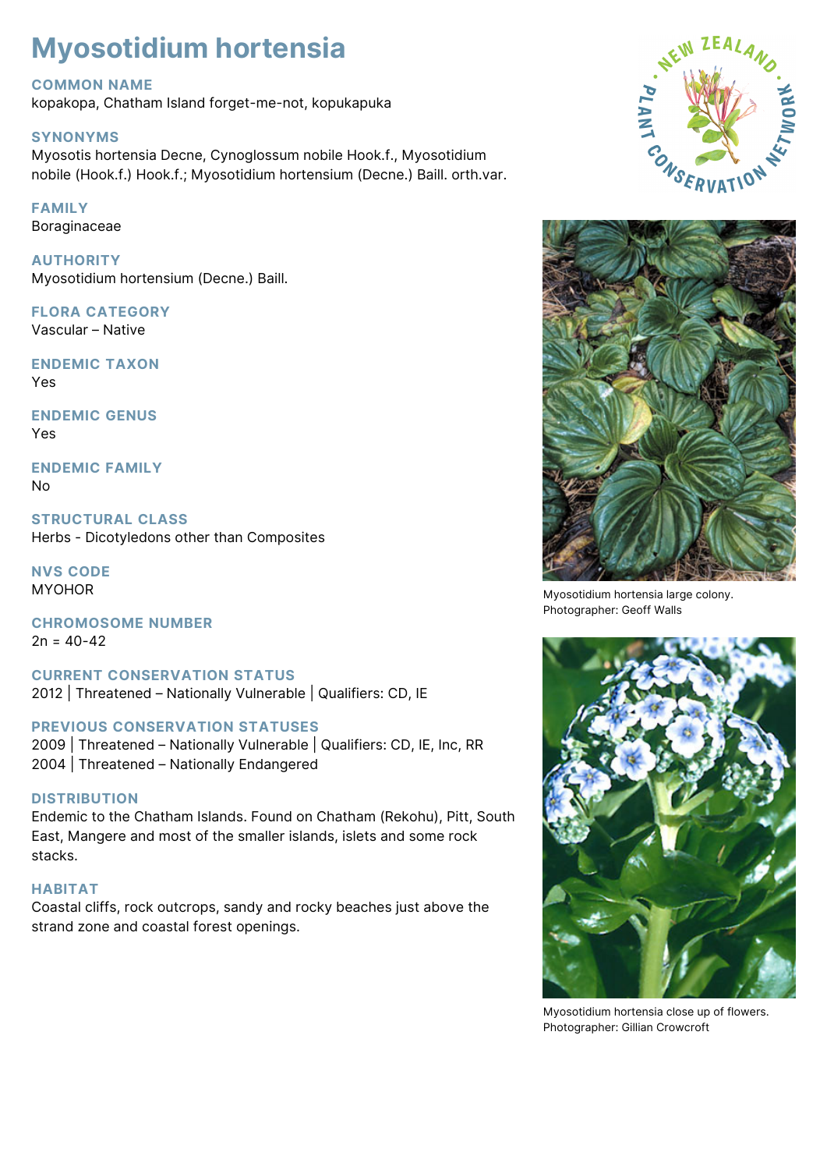# **Myosotidium hortensia**

# **COMMON NAME**

kopakopa, Chatham Island forget-me-not, kopukapuka

### **SYNONYMS**

Myosotis hortensia Decne, Cynoglossum nobile Hook.f., Myosotidium nobile (Hook.f.) Hook.f.; Myosotidium hortensium (Decne.) Baill. orth.var.

# **FAMILY**

Boraginaceae

**AUTHORITY** Myosotidium hortensium (Decne.) Baill.

# **FLORA CATEGORY**

Vascular – Native

**ENDEMIC TAXON** Yes

**ENDEMIC GENUS** Yes

**ENDEMIC FAMILY** No

**STRUCTURAL CLASS** Herbs - Dicotyledons other than Composites

**NVS CODE MYOHOR** 

**CHROMOSOME NUMBER**  $2n = 40-42$ 

**CURRENT CONSERVATION STATUS** 2012 | Threatened – Nationally Vulnerable | Qualifiers: CD, IE

# **PREVIOUS CONSERVATION STATUSES**

2009 | Threatened – Nationally Vulnerable | Qualifiers: CD, IE, Inc, RR 2004 | Threatened – Nationally Endangered

# **DISTRIBUTION**

Endemic to the Chatham Islands. Found on Chatham (Rekohu), Pitt, South East, Mangere and most of the smaller islands, islets and some rock stacks.

#### **HABITAT**

Coastal cliffs, rock outcrops, sandy and rocky beaches just above the strand zone and coastal forest openings.





Myosotidium hortensia large colony. Photographer: Geoff Walls



Myosotidium hortensia close up of flowers. Photographer: Gillian Crowcroft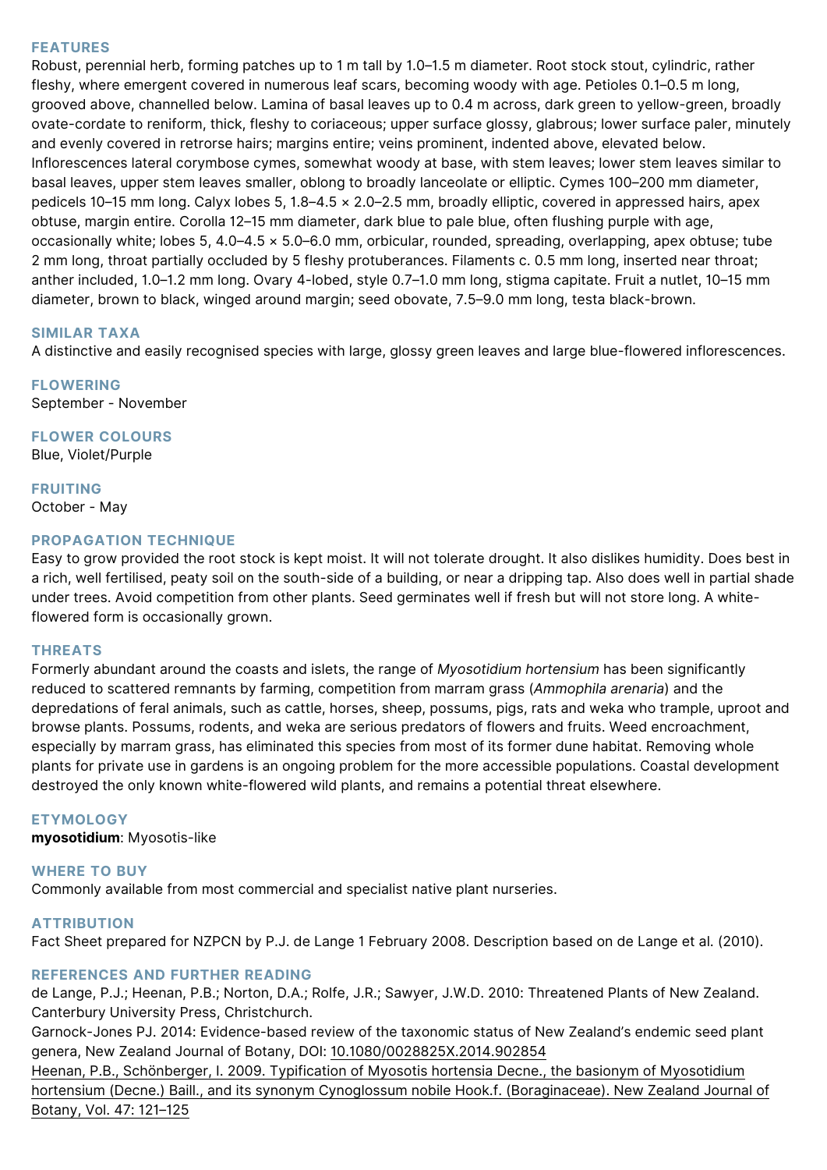#### **FEATURES**

Robust, perennial herb, forming patches up to 1 m tall by 1.0–1.5 m diameter. Root stock stout, cylindric, rather fleshy, where emergent covered in numerous leaf scars, becoming woody with age. Petioles 0.1–0.5 m long, grooved above, channelled below. Lamina of basal leaves up to 0.4 m across, dark green to yellow-green, broadly ovate-cordate to reniform, thick, fleshy to coriaceous; upper surface glossy, glabrous; lower surface paler, minutely and evenly covered in retrorse hairs; margins entire; veins prominent, indented above, elevated below. Inflorescences lateral corymbose cymes, somewhat woody at base, with stem leaves; lower stem leaves similar to basal leaves, upper stem leaves smaller, oblong to broadly lanceolate or elliptic. Cymes 100–200 mm diameter, pedicels 10–15 mm long. Calyx lobes 5, 1.8–4.5 × 2.0–2.5 mm, broadly elliptic, covered in appressed hairs, apex obtuse, margin entire. Corolla 12–15 mm diameter, dark blue to pale blue, often flushing purple with age, occasionally white; lobes 5, 4.0–4.5 × 5.0–6.0 mm, orbicular, rounded, spreading, overlapping, apex obtuse; tube 2 mm long, throat partially occluded by 5 fleshy protuberances. Filaments c. 0.5 mm long, inserted near throat; anther included, 1.0–1.2 mm long. Ovary 4-lobed, style 0.7–1.0 mm long, stigma capitate. Fruit a nutlet, 10–15 mm diameter, brown to black, winged around margin; seed obovate, 7.5–9.0 mm long, testa black-brown.

#### **SIMILAR TAXA**

A distinctive and easily recognised species with large, glossy green leaves and large blue-flowered inflorescences.

**FLOWERING** September - November

**FLOWER COLOURS** Blue, Violet/Purple

**FRUITING** October - May

#### **PROPAGATION TECHNIQUE**

Easy to grow provided the root stock is kept moist. It will not tolerate drought. It also dislikes humidity. Does best in a rich, well fertilised, peaty soil on the south-side of a building, or near a dripping tap. Also does well in partial shade under trees. Avoid competition from other plants. Seed germinates well if fresh but will not store long. A whiteflowered form is occasionally grown.

#### **THREATS**

Formerly abundant around the coasts and islets, the range of *Myosotidium hortensium* has been significantly reduced to scattered remnants by farming, competition from marram grass (*Ammophila arenaria*) and the depredations of feral animals, such as cattle, horses, sheep, possums, pigs, rats and weka who trample, uproot and browse plants. Possums, rodents, and weka are serious predators of flowers and fruits. Weed encroachment, especially by marram grass, has eliminated this species from most of its former dune habitat. Removing whole plants for private use in gardens is an ongoing problem for the more accessible populations. Coastal development destroyed the only known white-flowered wild plants, and remains a potential threat elsewhere.

#### **ETYMOLOGY**

**myosotidium**: Myosotis-like

#### **WHERE TO BUY**

Commonly available from most commercial and specialist native plant nurseries.

#### **ATTRIBUTION**

Fact Sheet prepared for NZPCN by P.J. de Lange 1 February 2008. Description based on de Lange et al. (2010).

#### **REFERENCES AND FURTHER READING**

de Lange, P.J.; Heenan, P.B.; Norton, D.A.; Rolfe, J.R.; Sawyer, J.W.D. 2010: Threatened Plants of New Zealand. Canterbury University Press, Christchurch.

Garnock-Jones PJ. 2014: Evidence-based review of the taxonomic status of New Zealand's endemic seed plant genera, New Zealand Journal of Botany, DOI: [10.1080/0028825X.2014.902854](http://dx.doi.org/10.1080/0028825X.2014.902854)

[Heenan, P.B., Schönberger, I. 2009. Typification of Myosotis hortensia Decne., the basionym of Myosotidium](http://www.royalsociety.org.nz/Site/publish/Journals/nzjb/2009/012.aspx) [hortensium \(Decne.\) Baill., and its synonym Cynoglossum nobile Hook.f. \(Boraginaceae\). New Zealand Journal of](http://www.royalsociety.org.nz/Site/publish/Journals/nzjb/2009/012.aspx) [Botany, Vol. 47: 121–125](http://www.royalsociety.org.nz/Site/publish/Journals/nzjb/2009/012.aspx)